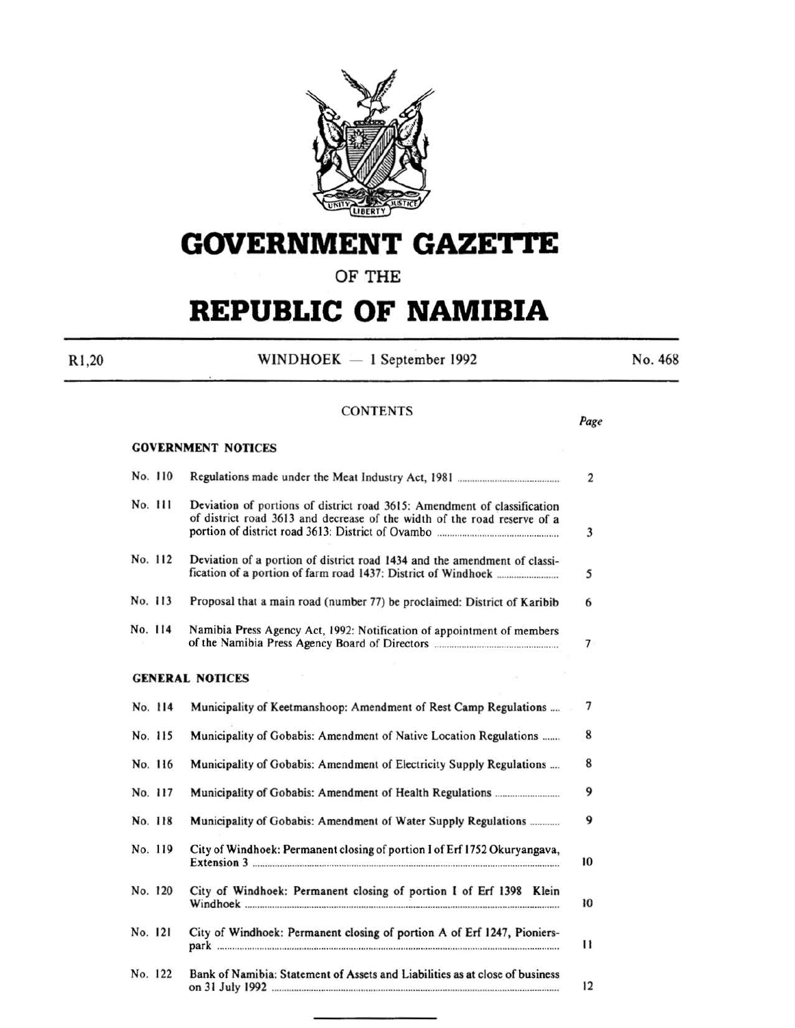

# GOVERNMENT GAZETTE

# OF THE

# **REPUBLIC OF NAMIBIA**

R1 ,20

 $WINDHOEK - 1 September 1992$ 

No. 468

Page

# **CONTENTS**

# GOVERNMENT NOTICES No. 110 Regulations made under the Meat Industry Act, 1981 ......................................... 2 No. Ill Deviation of portions of district road 3615: Amendment of classification of district road 3613 and decrease of the width of the road reserve of a portion of district road 3613: District of Ovambo ................................................. 3 No. 112 Deviation of a portion of district road 1434 and the amendment of classification of a portion of farm road 1437: District of Windhoek ......................... *5*  No. 113 Proposal that a main road (number 77) be proclaimed: District of Karibib 6 No. 114 Namibia Press Agency Act, 1992: Notification of appointment of members of the Namibia Press Agency Board of Directors .................................................. 7 GENERAL NOTICES No. 114 Municipality of Keetmanshoop: Amendment of Rest Camp Regulations .... 7 No. 115 Municipality of Gobabis: Amendment of Native Location Regulations ....... 8 No. 116 Municipality of Gobabis: Amendment of Electricity Supply Regulations .... 8 No. 11 7 MunicipaHty of Gobabis: Amendment of Health Regulations .......................... 9 No. 118 Municipality of Gobabis: Amendment of Water Supply Regulations............ 9 No. 119 City of Windhoek: Permanent closing of portion I of Erf 1752 Okuryangava, Extension 3 ............................................................................................................................ I 0 No. 120 City of Windhoek: Permanent closing of portion I of Erf 1398 Klein Windhoek ............................................................................................................................... 10 No. 121 City of Windhoek: Permanent closing of portion A of Erf 1247, Pionierspark .......................................................................................................................................... II No. 122 Bank of Namibia: Statement of Assets and Liabilities as at close of business on 31 July 1992 .................................................................................................................... 12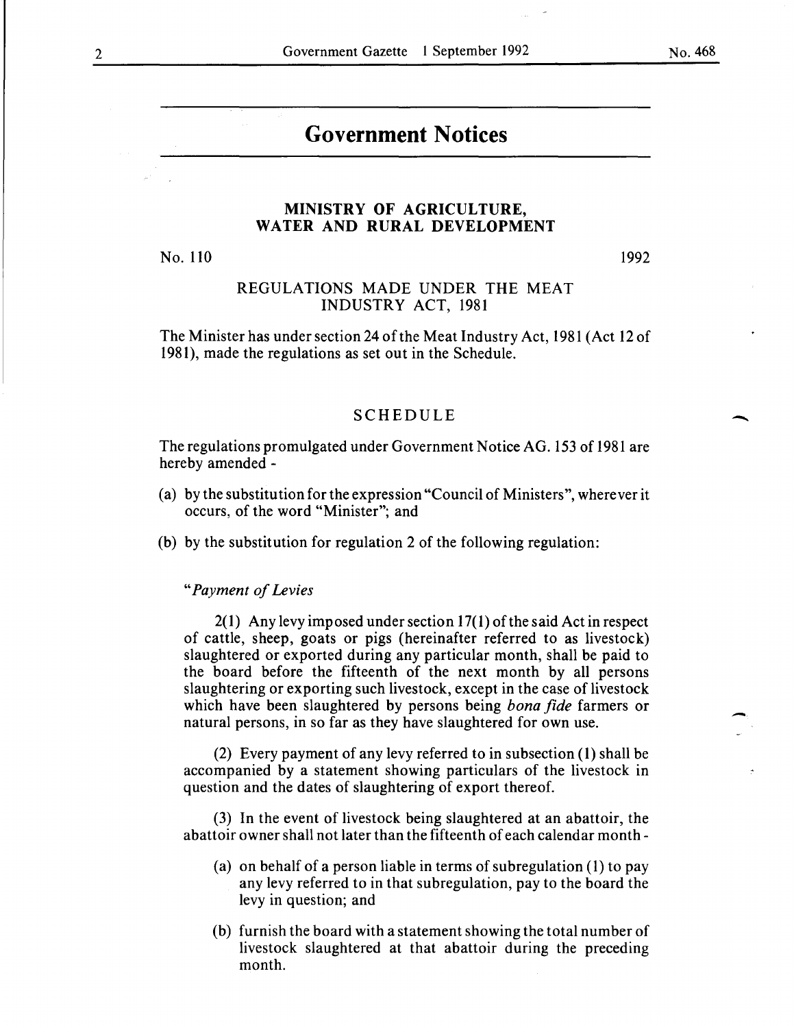-

-

# **Government Notices**

### **MINISTRY OF AGRICULTURE, WATER AND RURAL DEVELOPMENT**

No. 110

1992

# REGULATIONS MADE UNDER THE MEAT INDUSTRY ACT, 1981

The Minister has under section 24 of the Meat Industry Act, 1981 (Act 12 of 1981), made the regulations as set out in the Schedule.

#### SCHEDULE

The regulations promulgated under Government Notice AG. 153 of 1981 are hereby amended -

- (a) by the substitution for the expression "Council of Ministers", wherever it occurs, of the word "Minister"; and
- (b) by the substitution for regulation 2 of the following regulation:

*"Payment of Levies* 

 $2(1)$  Any levy imposed under section 17(1) of the said Act in respect of cattle, sheep, goats or pigs (hereinafter referred to as livestock) slaughtered or exported during any particular month, shall be paid to the board before the fifteenth of the next month by all persons slaughtering or exporting such livestock, except in the case of livestock which have been slaughtered by persons being *bona fide* farmers or natural persons, in so far as they have slaughtered for own use.

(2) Every payment of any levy referred to in subsection ( **1)** shall be accompanied by a statement showing particulars of the livestock in question and the dates of slaughtering of export thereof.

(3) In the event of livestock being slaughtered at an abattoir, the abattoir owner shall not later than the fifteenth of each calendar month-

- (a) on behalf of a person liable in terms of subregulation (1) to pay any levy referred to in that subregulation, pay to the board the levy in question; and
- (b) furnish the board with a statement showing the total number of livestock slaughtered at that abattoir during the preceding month.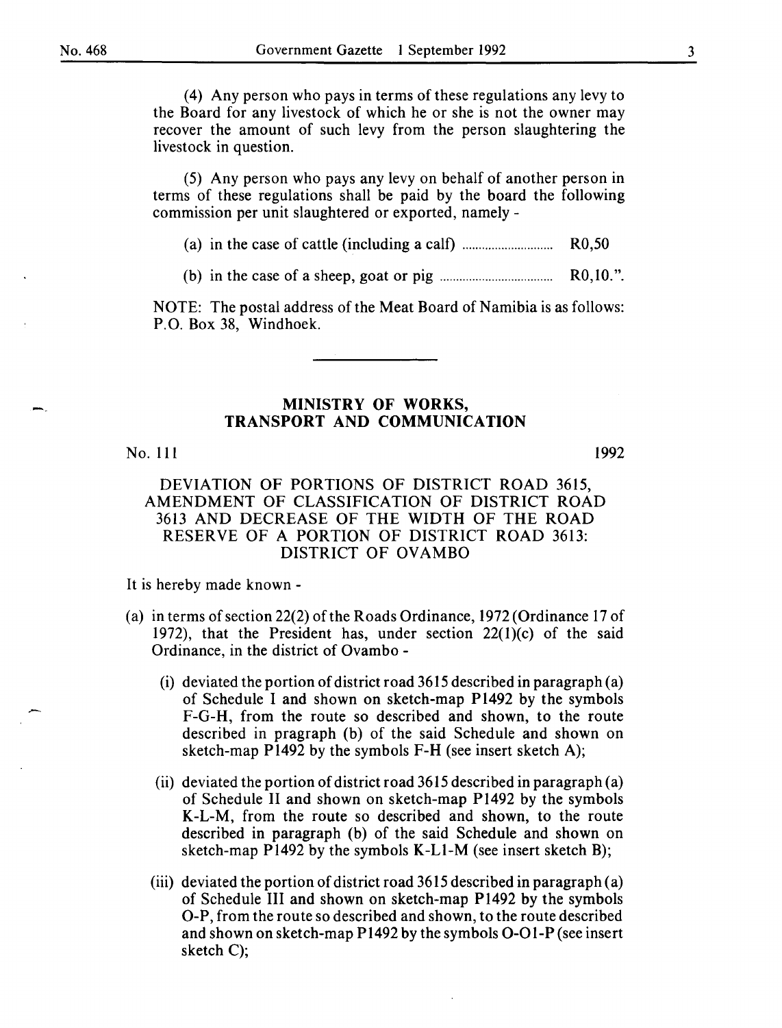( 4) Any person who pays in terms of these regulations any levy to the Board for any livestock of which he or she is not the owner may recover the amount of such levy from the person slaughtering the livestock in question.

(5) Any person who pays any levy on behalf of another person in terms of these regulations shall be paid by the board the following commission per unit slaughtered or exported, namely -

(a) in the case of cattle (including a calf) ............................ R0,50

(b) in the case of a sheep, goat or pig ................................... RO, 10. ".

NOTE: The postal address of the Meat Board of Namibia is as follows: P.O. Box 38, Windhoek.

# MINISTRY OF WORKS, TRANSPORT AND COMMUNICATION

#### No. 111

1992

### DEVIATION OF PORTIONS OF DISTRICT ROAD 3615, AMENDMENT OF CLASSIFICATION OF DISTRICT ROAD 3613 AND DECREASE OF THE WIDTH OF THE ROAD RESERVE OF A PORTION OF DISTRICT ROAD 3613: DISTRICT OF OVAMBO

It is hereby made known-

- (a) in terms of section 22(2) of the Roads Ordinance, 1972 (Ordinance 17 of 1972), that the President has, under section  $22(1)(c)$  of the said Ordinance, in the district of Ovambo -
	- (i) deviated the portion of district road 3615 described in paragraph (a) of Schedule I and shown on sketch-map P1492 by the symbols F-G-H, from the route so described and shown, to the route described in pragraph (b) of the said Schedule and shown on sketch-map P1492 by the symbols F-H (see insert sketch A);
	- (ii) deviated the portion of district road 3615 described in paragraph (a) of Schedule II and shown on sketch-map Pl492 by the symbols K-L-M, from the route so described and shown, to the route described in paragraph (b) of the said Schedule and shown on sketch-map Pl492 by the symbols K-Ll-M (see insert sketch B);
	- (iii) deviated the portion of district road 3615 described in paragraph (a) of Schedule III and shown on sketch-map Pl492 by the symbols 0-P, from the route so described and shown, to the route described and shown on sketch-map Pl492 by the symbols 0-01-P (see insert sketch C);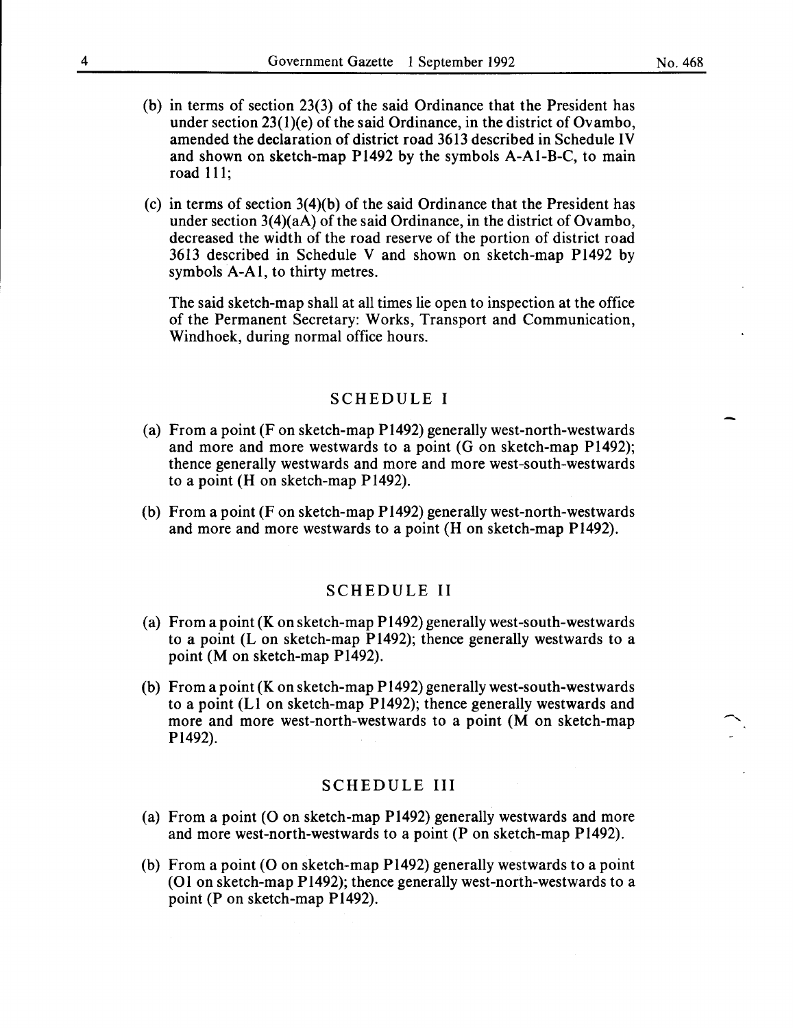- (b) in terms of section 23(3) of the said Ordinance that the President has under section 23(l)(e) of the said Ordinance, in the district of Ovambo, amended the declaration of district road 3613 described in Schedule IV and shown on sketch-map Pl492 by the symbols A-Al-B-C, to main road lll;
- (c) in terms of section 3(4)(b) of the said Ordinance that the President has under section  $3(4)(aA)$  of the said Ordinance, in the district of Ovambo, decreased the width of the road reserve of the portion of district road 3613 described in Schedule V and shown on sketch-map Pl492 by symbols A-AI, to thirty metres.

The said sketch-map shall at all times lie open to inspection at the office of the Permanent Secretary: Works, Transport and Communication, Windhoek, during normal office hours.

#### SCHEDULE I

- (a) From a point (F on sketch-map Pl492) generally west-north-westwards and more and more westwards to a point (G on sketch-map Pl492); thence generally westwards and more and more west-south-westwards to a point (H on sketch-map Pl492).
- (b) From a point (F on sketch-map Pl492) generally west-north-westwards and more and more westwards to a point (H on sketch-map Pl492).

#### SCHEDULE II

- (a) From a point (K on sketch-map Pl492) generally west-south-westwards to a point  $(L$  on sketch-map P1492); thence generally westwards to a point (M on sketch-map Pl492).
- (b) From a point (K on sketch-map Pl492) generally west-south-westwards to a point (Ll on sketch-map Pl492); thence generally westwards and more and more west-north-westwards to a point (M on sketch-map Pl492).

#### SCHEDULE III

- (a) From a point (O on sketch-map P1492) generally westwards and more and more west-north-westwards to a point (P on sketch-map Pl492).
- (b) From a point (0 on sketch-map Pl492) generally westwards to a point (01 on sketch-map Pl492); thence generally west-north-westwards to a point (P on sketch-map Pl492).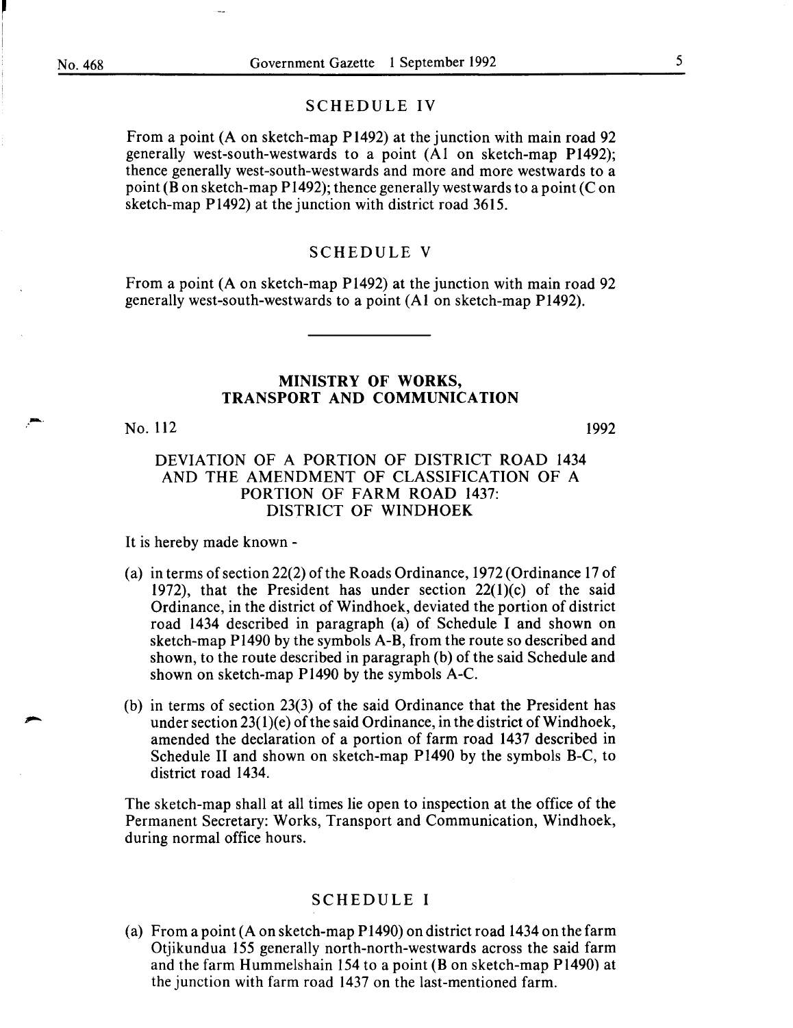I I

.. --

#### SCHEDULE IV

From a point (A on sketch-map P1492) at the junction with main road 92 generally west-south-westwards to a point (AI on sketch-map P1492); thence generally west-south-westwards and more and more westwards to a point (B on sketch-map P1492); thence generally westwards to a point (C on sketch-map P1492) at the junction with district road 3615.

#### SCHEDULE V

From a point (A on sketch-map P1492) at the junction with main road 92 generally west-south-westwards to a point (AI on sketch-map P1492).

# MINISTRY OF WORKS, TRANSPORT AND COMMUNICATION

#### No. 112

1992

### DEVIATION OF A PORTION OF DISTRICT ROAD 1434 AND THE AMENDMENT OF CLASSIFICATION OF A PORTION OF FARM ROAD 1437: DISTRICT OF WINDHOEK

It is hereby made known -

- (a) in terms of section 22(2) of the Roads Ordinance, 1972 (Ordinance 17 of 1972), that the President has under section 22(l)(c) of the said Ordinance, in the district of Windhoek, deviated the portion of district road 1434 described in paragraph (a) of Schedule I and shown on sketch-map P1490 by the symbols A-B, from the route so described and shown, to the route described in paragraph (b) of the said Schedule and shown on sketch-map P1490 by the symbols A-C.
- (b) in terms of section 23(3) of the said Ordinance that the President has under section  $23(1)(e)$  of the said Ordinance, in the district of Windhoek, amended the declaration of a portion of farm road 1437 described in Schedule II and shown on sketch-map P1490 by the symbols B-C, to district road 1434.

The sketch-map shall at all times lie open to inspection at the office of the Permanent Secretary: Works, Transport and Communication, Windhoek, during normal office hours.

#### SCHEDULE I

(a) From a point (A on sketch-map P1490) on district road 1434 on the farm Otjikundua 155 generally north-north-westwards across the said farm and the farm Hummelshain 154 to a point  $(B \text{ on sketch-map } P1490)$  at the junction with farm road 1437 on the last-mentioned farm.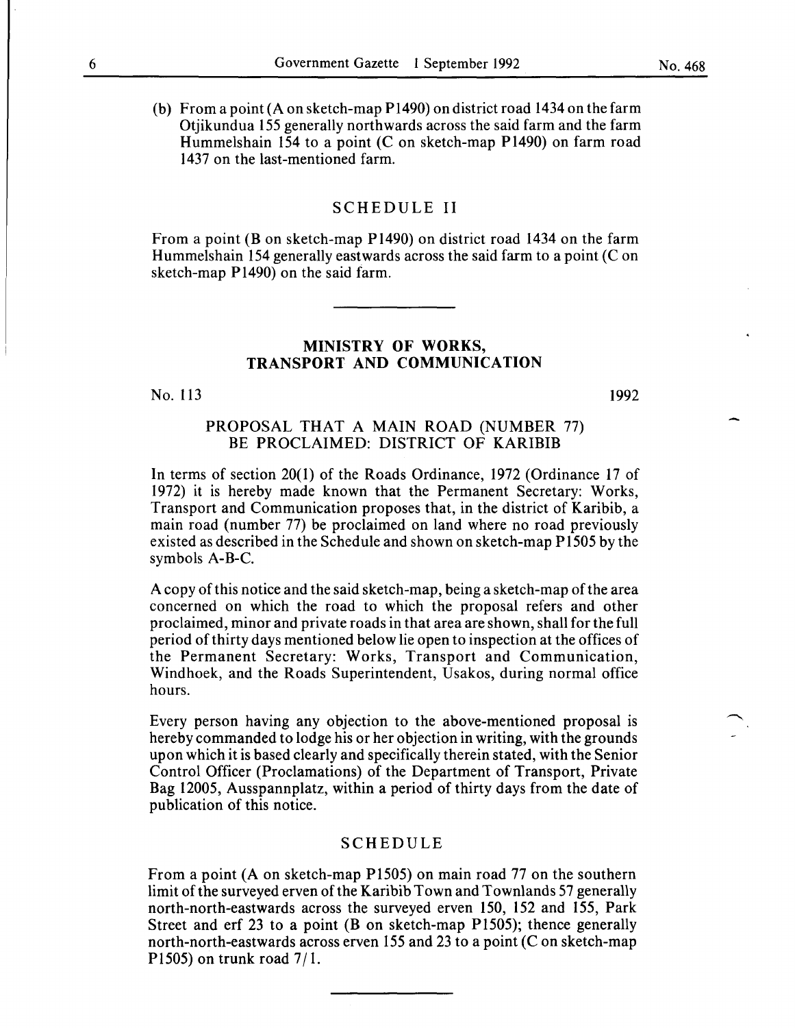(b) From a point (A on sketch-map P1490) on district road 1434 on the farm Otjikundua 155 generally northwards across the said farm and the farm Hummelshain 154 to a point (C on sketch-map P1490) on farm road 1437 on the last-mentioned farm.

#### SCHEDULE II

From a point (B on sketch-map P1490) on district road 1434 on the farm Hummelshain 154 generally eastwards across the said farm to a point  $(C \text{ on } 1)$ sketch-map P1490) on the said farm.

### MINISTRY OF WORKS, TRANSPORT AND COMMUNICATION

No. 113

1992

### PROPOSAL THAT A MAIN ROAD (NUMBER 77) BE PROCLAIMED: DISTRICT OF KARIBIB

In terms of section 20(1) of the Roads Ordinance, 1972 (Ordinance 17 of 1972) it is hereby made known that the Permanent Secretary: Works, Transport and Communication proposes that, in the district of Karibib, a main road (number 77) be proclaimed on land where no road previously existed as described in the Schedule and shown on sketch-map P1505 by the symbols A-B-C.

A copy of this notice and the said sketch-map, being a sketch-map of the area concerned on which the road to which the proposal refers and other proclaimed, minor and private roads in that area are shown, shall for the full period of thirty days mentioned below lie open to inspection at the offices of the Permanent Secretary: Works, Transport and Communication, Windhoek, and the Roads Superintendent, Usakos, during normal office hours.

Every person having any objection to the above-mentioned proposal is hereby commanded to lodge his or her objection in writing, with the grounds upon which it is based clearly and specifically therein stated, with the Senior Control Officer (Proclamations) of the Department of Transport, Private Bag 12005, Ausspannplatz, within a period of thirty days from the date of publication of this notice.

#### SCHEDULE

From a point (A on sketch-map P1505) on main road 77 on the southern limit of the surveyed erven of the Karibib Town and Townlands 57 generally north-north-eastwards across the surveyed erven 150, 152 and 155, Park Street and erf 23 to a point (B on sketch-map P1505); thence generally north-north-eastwards across erven 155 and 23 to a point  $(C \text{ on sketch-map})$ P1505) on trunk road  $7/1$ .

No. 468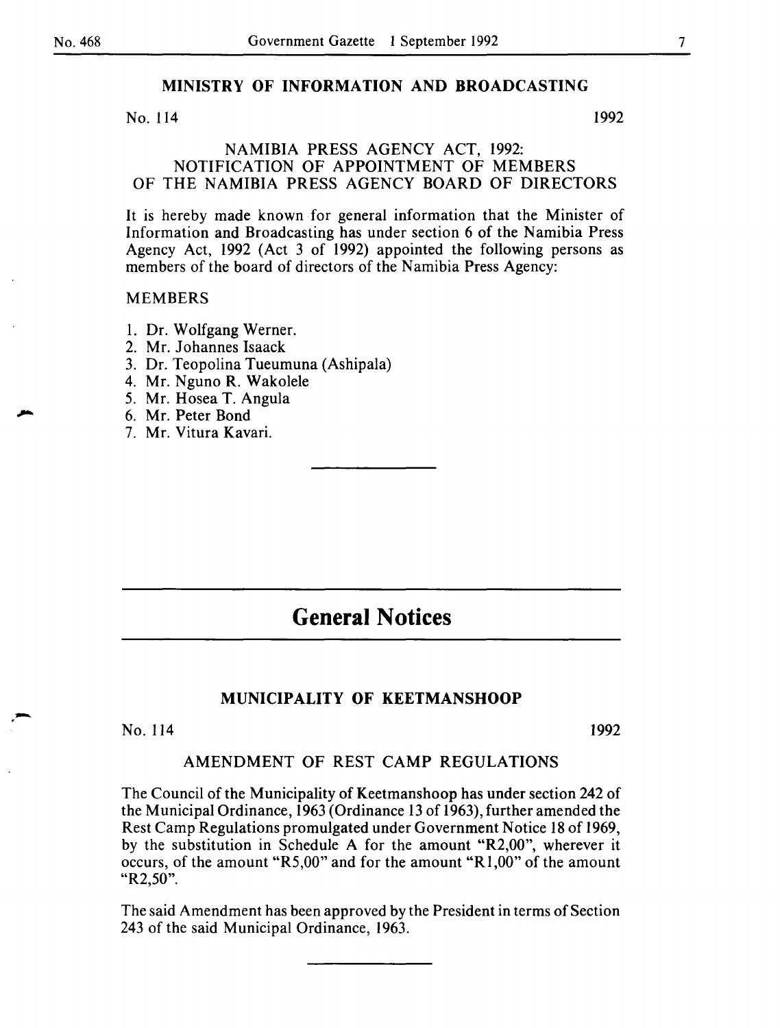# MINISTRY OF INFORMATION AND BROADCASTING

No. 114 1992

#### NAMIBIA PRESS AGENCY ACT, 1992: NOTIFICATION OF APPOINTMENT OF MEMBERS OF THE NAMIBIA PRESS AGENCY BOARD OF DIRECTORS

It is hereby made known for general information that the Minister of Information and Broadcasting has under section 6 of the Namibia Press Agency Act, 1992 (Act 3 of 1992) appointed the following persons as members of the board of directors of the Namibia Press Agency:

#### MEMBERS

- I. Dr. Wolfgang Werner.
- 2. Mr. Johannes Isaack
- 3. Dr. Teopolina Tueumuna (Ashipala)
- 4. Mr. Nguno R. Wakolele
- 5. Mr. Hosea T. Angula
- 6. Mr. Peter Bond
- 7. Mr. Vitura Kavari.

# **General Notices**

# MUNICIPALITY OF KEETMANSHOOP

# No. 114 1992

-

#### AMENDMENT OF REST CAMP REGULATIONS

The Council of the Municipality of Keetmanshoop has under section 242 of the Municipal Ordinance, 1963 (Ordinance 13 of 1963), further amended the Rest Camp Regulations promulgated under Government Notice 18 of 1969, by the substitution in Schedule A for the amount "R2,00", wherever it occurs, of the amount "R5,00" and for the amount "R1,00" of the amount "R2,50".

The said Amendment has been approved by the President in terms of Section 243 of the said Municipal Ordinance, 1963.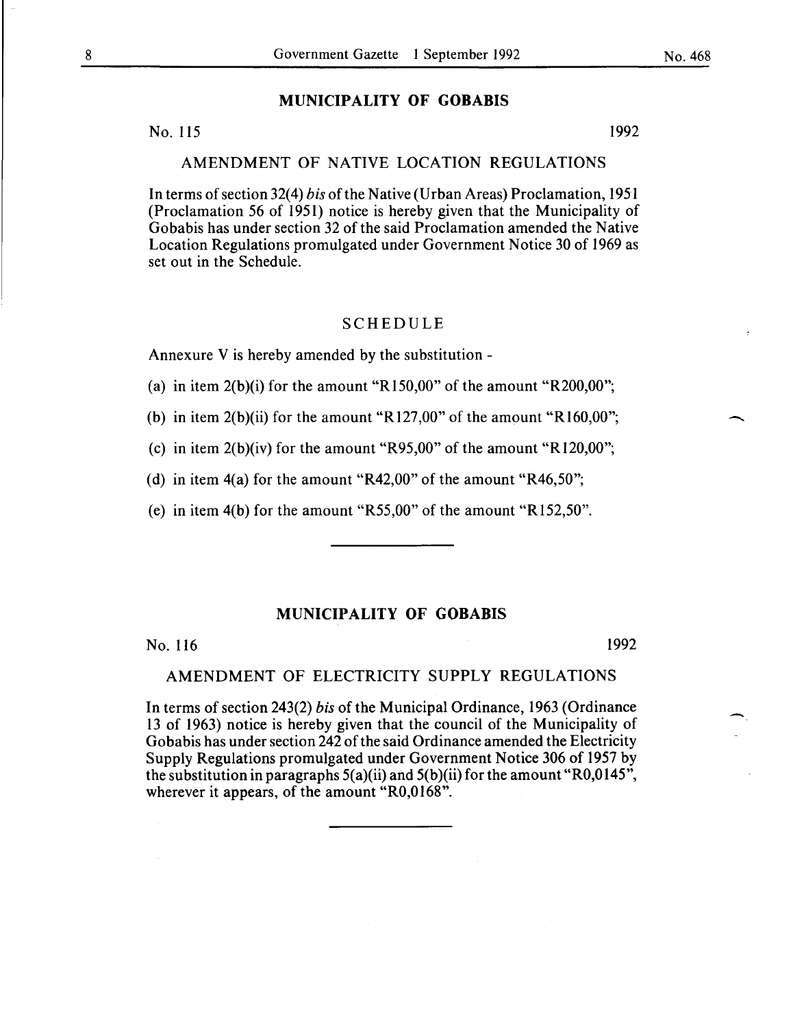# MUNICIPALITY OF GOBABIS

No. 115 1992

AMENDMENT OF NATIVE LOCATION REGULATIONS

In terms of section 32(4) *bis* of the Native (Urban Areas) Proclamation, 1951 (Proclamation 56 of 1951) notice is hereby given that the Municipality of Gobabis has under section 32 of the said Proclamation amended the Native Location Regulations promulgated under Government Notice 30 of 1969 as set out in the Schedule.

### SCHEDULE

Annexure V is hereby amended by the substitution -

(a) in item  $2(b)(i)$  for the amount "R150,00" of the amount "R200,00";

(b) in item  $2(b)(ii)$  for the amount "R127,00" of the amount "R160,00";

(c) in item  $2(b)(iv)$  for the amount "R95,00" of the amount "R120,00";

(d) in item 4(a) for the amount "R42,00" of the amount "R46,50";

(e) in item 4(b) for the amount "R55,00" of the amount "Rl52,50".

#### MUNICIPALITY OF GOBABIS

No. 116 1992

#### AMENDMENT OF ELECTRICITY SUPPLY REGULATIONS

In terms of section 243(2) *bis* of the Municipal Ordinance, 1963 (Ordinance 13 of 1963) notice is hereby given that the council of the Municipality of Gobabis has under section 242 of the said Ordinance amended the Electricity Supply Regulations promulgated under Government Notice 306 of 1957 by the substitution in paragraphs  $5(a)(ii)$  and  $5(b)(ii)$  for the amount "R0,0145", wherever it appears, of the amount "R0,0168".

 $\overline{\phantom{0}}$ 

-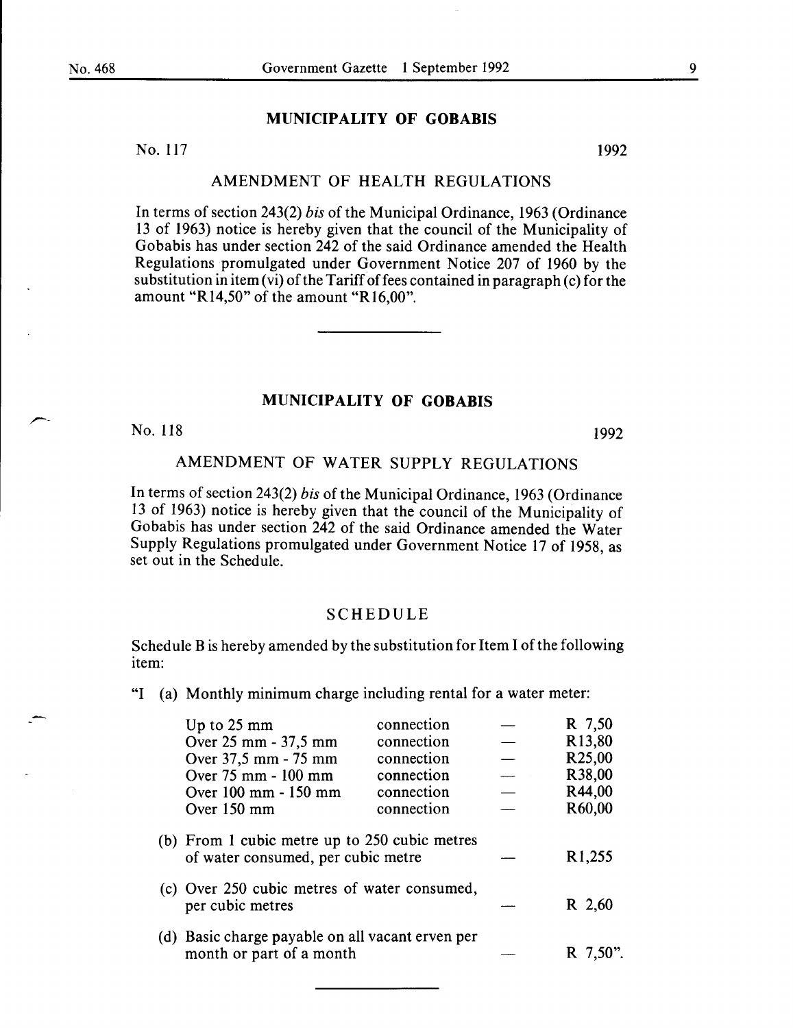#### MUNICIPALITY OF GOBABIS

No. 117 1992

#### AMENDMENT OF HEALTH REGULATIONS

In terms of section 243(2) *bis* of the Municipal Ordinance, 1963 (Ordinance 13 of 1963) notice is hereby given that the council of the Municipality of Gobabis has under section 242 of the said Ordinance amended the Health Regulations promulgated under Government Notice 207 of 1960 by the substitution in item  $(v_i)$  of the Tariff of fees contained in paragraph  $(c)$  for the amount "R14,50" of the amount "R16,00".

#### MUNICIPALITY OF GOBABIS

No. 118 1992

# AMENDMENT OF WATER SUPPLY REGULATIONS

In terms of section 243(2) *bis* of the Municipal Ordinance, 1963 (Ordinance 13 of 1963) notice is hereby given that the council of the Municipality of Gobabis has under section 242 of the said Ordinance amended the Water Supply Regulations promulgated under Government Notice 17 of 1958, as set out in the Schedule.

#### SCHEDULE

Schedule B is hereby amended by the substitution for Item I of the following item:

"I (a) Monthly minimum charge including rental for a water meter:

| Up to 25 mm                                                                         | connection | R 7,50              |
|-------------------------------------------------------------------------------------|------------|---------------------|
| Over 25 mm - 37,5 mm                                                                | connection | R <sub>13</sub> ,80 |
| Over 37,5 mm - 75 mm                                                                | connection | R <sub>25</sub> ,00 |
| Over 75 mm - 100 mm                                                                 | connection | R38,00              |
| Over 100 mm - 150 mm                                                                | connection | R44,00              |
| Over 150 mm                                                                         | connection | R60,00              |
| (b) From 1 cubic metre up to 250 cubic metres<br>of water consumed, per cubic metre |            | R <sub>1</sub> ,255 |
| (c) Over 250 cubic metres of water consumed,<br>per cubic metres                    |            | R 2,60              |
| (d) Basic charge payable on all vacant erven per<br>month or part of a month        |            | R 7,50".            |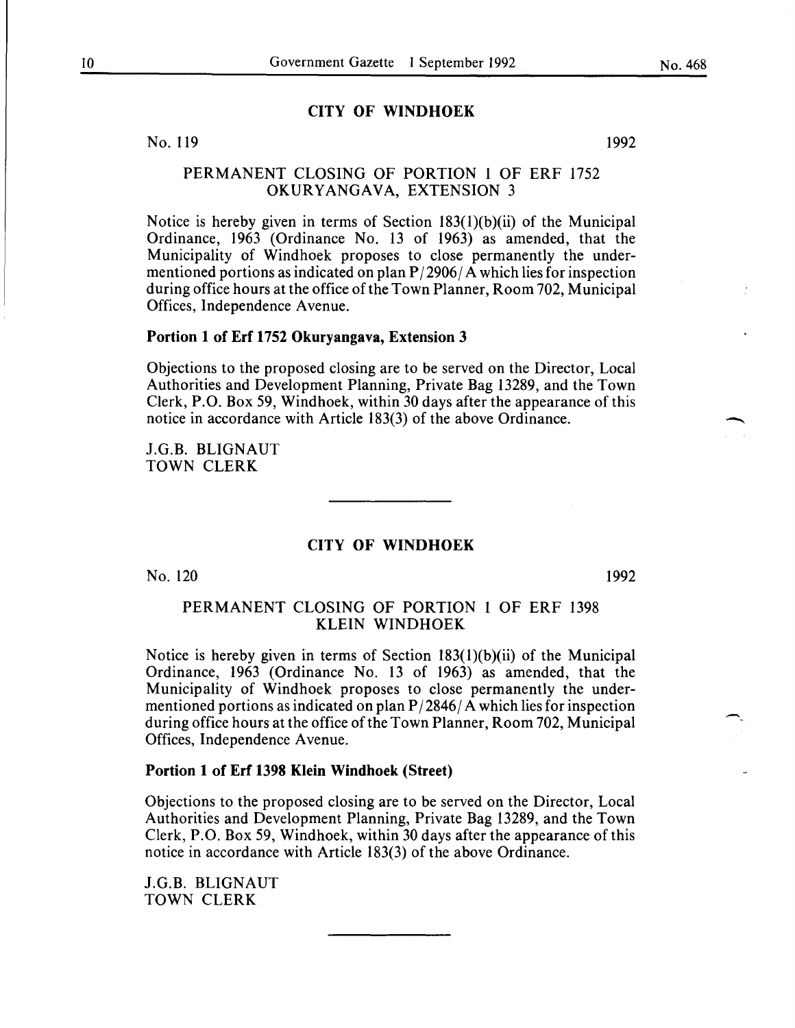#### **CITY OF WINDHOEK**

No. II9

# PERMANENT CLOSING OF PORTION I OF ERF I752 OKURYANGAVA, EXTENSION 3

Notice is hereby given in terms of Section I83(I)(b)(ii) of the Municipal Ordinance, I963 (Ordinance No. 13 of I963) as amended, that the Municipality of Windhoek proposes to close permanently the undermentioned portions as indicated on plan  $P/2906/A$  which lies for inspection during office hours at the office of the Town Planner, Room 702, Municipal Offices, Independence A venue.

#### **Portion 1 of Erf 1752 Okuryangava, Extension 3**

Objections to the proposed closing are to be served on the Director, Local Authorities and Development Planning, Private Bag 13289, and the Town Clerk, P.O. Box 59, Windhoek, within 30 days after the appearance of this notice in accordance with Article I83(3) of the above Ordinance.

J.G.B. BLIGNAUT TOWN CLERK

#### **CITY OF WINDHOEK**

No. I20

I992

-

### PERMANENT CLOSING OF PORTION I OF ERF I398 KLEIN WINDHOEK

Notice is hereby given in terms of Section I83(l)(b)(ii) of the Municipal Ordinance, I963 (Ordinance No. 13 of I963) as amended, that the Municipality of Windhoek proposes to close permanently the undermentioned portions as indicated on plan  $P/2846/A$  which lies for inspection during office hours at the office of the Town Planner, Room 702, Municipal Offices, Independence A venue.

#### **Portion 1 of Erf 1398 Klein Windhoek (Street)**

Objections to the proposed closing are to be served on the Director, Local Authorities and Development Planning, Private Bag 13289, and the Town Clerk, P.O. Box 59, Windhoek, within 30 days after the appearance of this notice in accordance with Article I83(3) of the above Ordinance.

J.G.B. BLIGNAUT TOWN CLERK

I992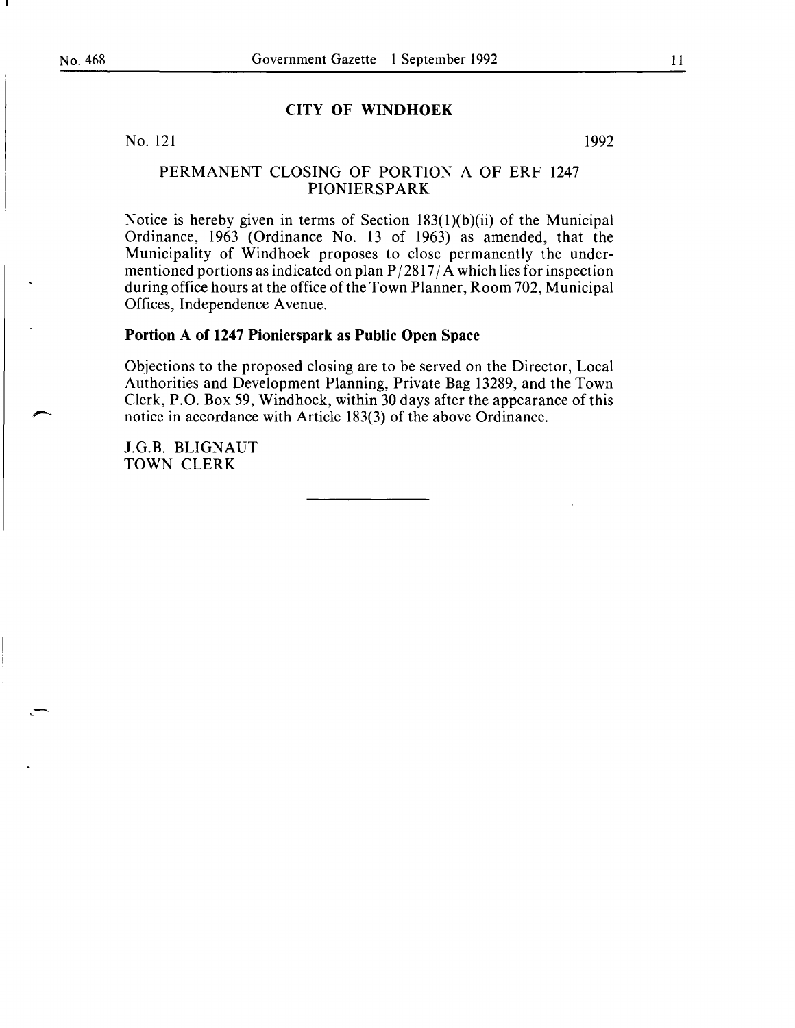#### **CITY OF WINDHOEK**

No. 121

1992

### PERMANENT CLOSING OF PORTION A OF ERF 1247 **PIONIERSPARK**

Notice is hereby given in terms of Section 183(l)(b)(ii) of the Municipal Ordinance, 1963 (Ordinance No. 13 of 1963) as amended, that the Municipality of Windhoek proposes to close permanently the undermentioned portions as indicated on plan  $P/2817/A$  which lies for inspection during office hours at the office of the Town Planner, Room 702, Municipal Offices, Independence A venue.

# **Portion A of 1247 Pionierspark as Public Open Space**

Objections to the proposed closing are to be served on the Director, Local Authorities and Development Planning, Private Bag 13289, and the Town Clerk, P.O. Box 59, Windhoek, within 30 days after the appearance of this notice in accordance with Article 183(3) of the above Ordinance.

J.G.B. BLIGNAUT TOWN CLERK